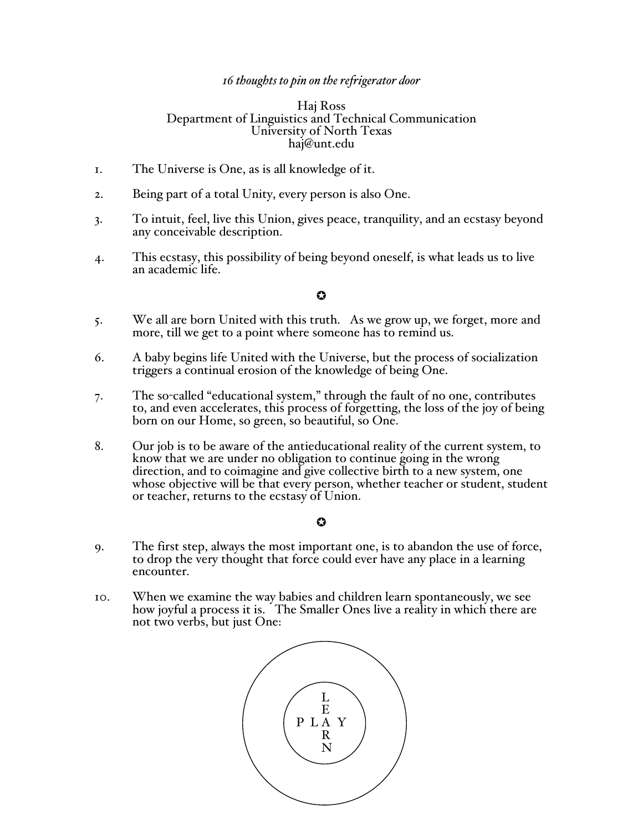## *16 thoughts to pin on the refrigerator door*

### Haj Ross Department of Linguistics and Technical Communication University of North Texas haj@unt.edu

- 1. The Universe is One, as is all knowledge of it.
- 2. Being part of a total Unity, every person is also One.
- 3. To intuit, feel, live this Union, gives peace, tranquility, and an ecstasy beyond any conceivable description.
- 4. This ecstasy, this possibility of being beyond oneself, is what leads us to live an academic life.

# $\ddot{\mathbf{c}}$

- 5. We all are born United with this truth. As we grow up, we forget, more and more, till we get to a point where someone has to remind us.
- 6. A baby begins life United with the Universe, but the process of socialization triggers a continual erosion of the knowledge of being One.
- 7. The so-called "educational system," through the fault of no one, contributes to, and even accelerates, this process of forgetting, the loss of the joy of being born on our Home, so green, so beautiful, so One.
- 8. Our job is to be aware of the antieducational reality of the current system, to know that we are under no obligation to continue going in the wrong direction, and to coimagine and give collective birth to a new system, one whose objective will be that every person, whether teacher or student, student or teacher, returns to the ecstasy of Union.

## $\Omega$

- 9. The first step, always the most important one, is to abandon the use of force, to drop the very thought that force could ever have any place in a learning encounter.
- 10. When we examine the way babies and children learn spontaneously, we see how joyful a process it is. The Smaller Ones live a reality in which there are not two verbs, but just One:

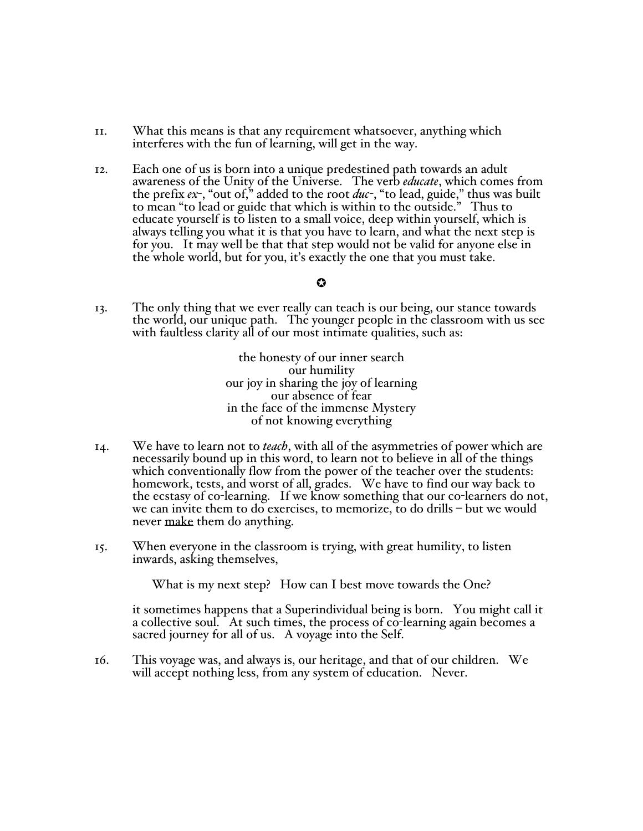- 11. What this means is that any requirement whatsoever, anything which interferes with the fun of learning, will get in the way.
- 12. Each one of us is born into a unique predestined path towards an adult awareness of the Unity of the Universe. The verb *educate*, which comes from the prefix *ex*-, "out of," added to the root *duc*-, "to lead, guide," thus was built to mean "to lead or guide that which is within to the outside." Thus to educate yourself is to listen to a small voice, deep within yourself, which is always telling you what it is that you have to learn, and what the next step is for you. It may well be that that step would not be valid for anyone else in the whole world, but for you, it's exactly the one that you must take.

### $\boldsymbol{\Omega}$

13. The only thing that we ever really can teach is our being, our stance towards the world, our unique path. The younger people in the classroom with us see with faultless clarity all of our most intimate qualities, such as:

> the honesty of our inner search our humility our joy in sharing the joy of learning our absence of fear in the face of the immense Mystery of not knowing everything

- 14. We have to learn not to *teach*, with all of the asymmetries of power which are necessarily bound up in this word, to learn not to believe in all of the things which conventionally flow from the power of the teacher over the students: homework, tests, and worst of all, grades. We have to find our way back to the ecstasy of co-learning. If we know something that our co-learners do not, we can invite them to do exercises, to memorize, to do drills – but we would never make them do anything.
- 15. When everyone in the classroom is trying, with great humility, to listen inwards, asking themselves,

What is my next step? How can I best move towards the One?

it sometimes happens that a Superindividual being is born. You might call it a collective soul. At such times, the process of co-learning again becomes a sacred journey for all of us. A voyage into the Self.

16. This voyage was, and always is, our heritage, and that of our children. We will accept nothing less, from any system of education. Never.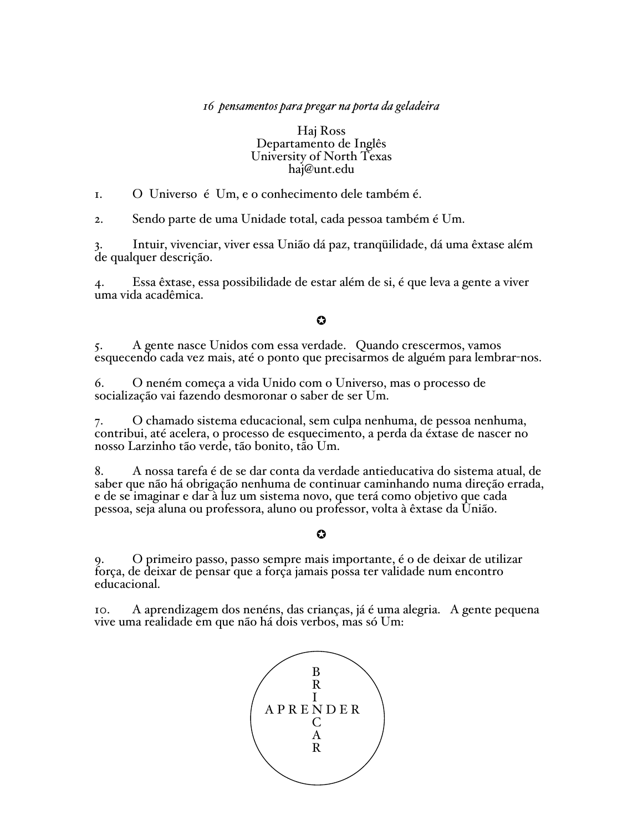## *16 pensamentos para pregar na porta da geladeira*

### Haj Ross Departamento de Inglês University of North Texas haj@unt.edu

1. O Universo é Um, e o conhecimento dele também é.

2. Sendo parte de uma Unidade total, cada pessoa também é Um.

3. Intuir, vivenciar, viver essa União dá paz, tranqüilidade, dá uma êxtase além de qualquer descrição.

4. Essa êxtase, essa possibilidade de estar além de si, é que leva a gente a viver uma vida acadêmica.

## $\Omega$

5. A gente nasce Unidos com essa verdade. Quando crescermos, vamos esquecendo cada vez mais, até o ponto que precisarmos de alguém para lembrar-nos.

6. O neném começa a vida Unido com o Universo, mas o processo de socialização vai fazendo desmoronar o saber de ser Um.

7. O chamado sistema educacional, sem culpa nenhuma, de pessoa nenhuma, contribui, até acelera, o processo de esquecimento, a perda da éxtase de nascer no nosso Larzinho tão verde, tão bonito, tão Um.

8. A nossa tarefa é de se dar conta da verdade antieducativa do sistema atual, de saber que não há obrigação nenhuma de continuar caminhando numa direção errada, e de se imaginar e dar à luz um sistema novo, que terá como objetivo que cada pessoa, seja aluna ou professora, aluno ou professor, volta à êxtase da União.

### $\bf{O}$

9. O primeiro passo, passo sempre mais importante, é o de deixar de utilizar força, de deixar de pensar que a força jamais possa ter validade num encontro educacional.

10. A aprendizagem dos nenéns, das crianças, já é uma alegria. A gente pequena vive uma realidade em que não há dois verbos, mas só Um: